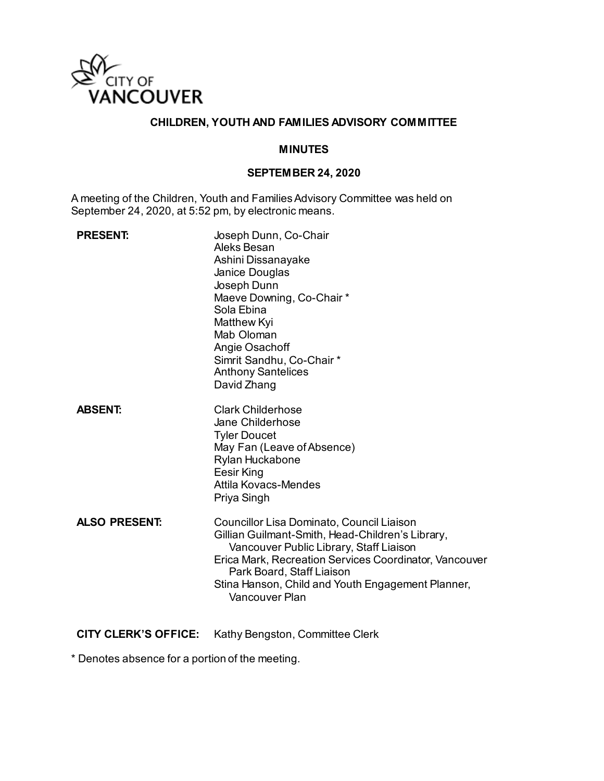

### **CHILDREN, YOUTH AND FAMILIES ADVISORY COMMITTEE**

#### **MINUTES**

#### **SEPTEMBER 24, 2020**

A meeting of the Children, Youth and Families Advisory Committee was held on September 24, 2020, at 5:52 pm, by electronic means.

| <b>PRESENT:</b>      | Joseph Dunn, Co-Chair<br>Aleks Besan<br>Ashini Dissanayake<br>Janice Douglas<br>Joseph Dunn<br>Maeve Downing, Co-Chair *<br>Sola Ebina<br>Matthew Kyi<br>Mab Oloman<br>Angie Osachoff<br>Simrit Sandhu, Co-Chair*<br><b>Anthony Santelices</b><br>David Zhang                                          |
|----------------------|--------------------------------------------------------------------------------------------------------------------------------------------------------------------------------------------------------------------------------------------------------------------------------------------------------|
| <b>ABSENT:</b>       | <b>Clark Childerhose</b><br>Jane Childerhose<br><b>Tyler Doucet</b><br>May Fan (Leave of Absence)<br>Rylan Huckabone<br>Eesir King<br>Attila Kovacs-Mendes<br>Priya Singh                                                                                                                              |
| <b>ALSO PRESENT:</b> | Councillor Lisa Dominato, Council Liaison<br>Gillian Guilmant-Smith, Head-Children's Library,<br>Vancouver Public Library, Staff Liaison<br>Erica Mark, Recreation Services Coordinator, Vancouver<br>Park Board, Staff Liaison<br>Stina Hanson, Child and Youth Engagement Planner,<br>Vancouver Plan |

**CITY CLERK'S OFFICE:** Kathy Bengston, Committee Clerk

\* Denotes absence for a portion of the meeting.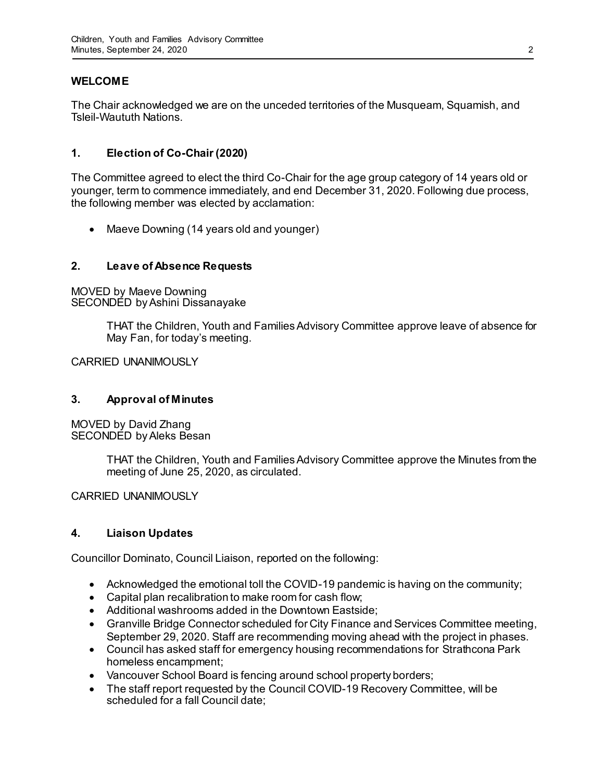## **WELCOME**

The Chair acknowledged we are on the unceded territories of the Musqueam, Squamish, and Tsleil-Waututh Nations.

### **1. Election of Co-Chair (2020)**

The Committee agreed to elect the third Co-Chair for the age group category of 14 years old or younger, term to commence immediately, and end December 31, 2020. Following due process, the following member was elected by acclamation:

• Maeve Downing (14 years old and younger)

### **2. Leave of Absence Requests**

MOVED by Maeve Downing SECONDED by Ashini Dissanayake

> THAT the Children, Youth and Families Advisory Committee approve leave of absence for May Fan, for today's meeting.

CARRIED UNANIMOUSLY

### **3. Approval of Minutes**

MOVED by David Zhang SECONDED by Aleks Besan

> THAT the Children, Youth and Families Advisory Committee approve the Minutes from the meeting of June 25, 2020, as circulated.

CARRIED UNANIMOUSLY

### **4. Liaison Updates**

Councillor Dominato, Council Liaison, reported on the following:

- Acknowledged the emotional toll the COVID-19 pandemic is having on the community;
- Capital plan recalibration to make room for cash flow;
- Additional washrooms added in the Downtown Eastside;
- Granville Bridge Connector scheduled for City Finance and Services Committee meeting, September 29, 2020. Staff are recommending moving ahead with the project in phases.
- Council has asked staff for emergency housing recommendations for Strathcona Park homeless encampment;
- Vancouver School Board is fencing around school property borders;
- The staff report requested by the Council COVID-19 Recovery Committee, will be scheduled for a fall Council date;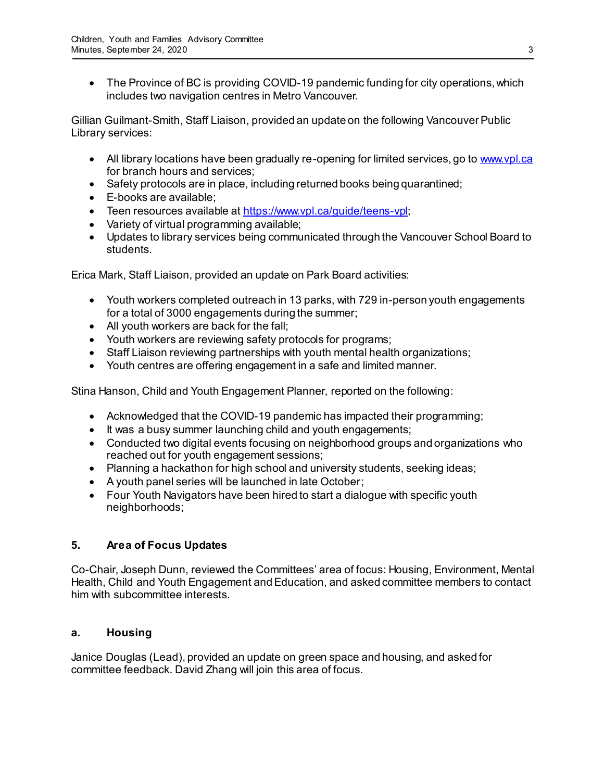The Province of BC is providing COVID-19 pandemic funding for city operations, which includes two navigation centres in Metro Vancouver.

Gillian Guilmant-Smith, Staff Liaison, provided an update on the following Vancouver Public Library services:

- All library locations have been gradually re-opening for limited services, go t[o www.vpl.ca](http://www.vpl.ca/) for branch hours and services;
- Safety protocols are in place, including returned books being quarantined;
- E-books are available;
- Teen resources available a[t https://www.vpl.ca/guide/teens-vpl](https://www.vpl.ca/guide/teens-vpl);
- Variety of virtual programming available;
- Updates to library services being communicated through the Vancouver School Board to students.

Erica Mark, Staff Liaison, provided an update on Park Board activities:

- Youth workers completed outreach in 13 parks, with 729 in-person youth engagements for a total of 3000 engagements during the summer;
- All youth workers are back for the fall;
- Youth workers are reviewing safety protocols for programs;
- Staff Liaison reviewing partnerships with youth mental health organizations;
- Youth centres are offering engagement in a safe and limited manner.

Stina Hanson, Child and Youth Engagement Planner, reported on the following:

- Acknowledged that the COVID-19 pandemic has impacted their programming;
- It was a busy summer launching child and youth engagements;
- Conducted two digital events focusing on neighborhood groups and organizations who reached out for youth engagement sessions;
- Planning a hackathon for high school and university students, seeking ideas;
- A youth panel series will be launched in late October;
- Four Youth Navigators have been hired to start a dialogue with specific youth neighborhoods;

# **5. Area of Focus Updates**

Co-Chair, Joseph Dunn, reviewed the Committees' area of focus: Housing, Environment, Mental Health, Child and Youth Engagement and Education, and asked committee members to contact him with subcommittee interests.

## **a. Housing**

Janice Douglas (Lead), provided an update on green space and housing, and asked for committee feedback. David Zhang will join this area of focus.